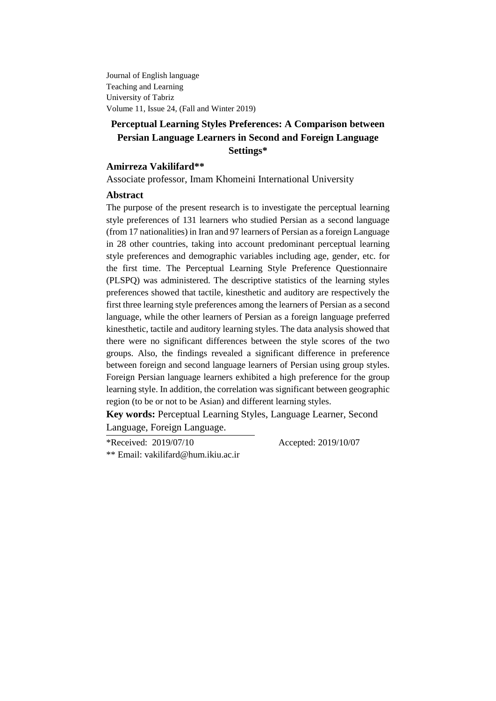Journal of English language Teaching and Learning University of Tabriz Volume 11, Issue 24, (Fall and Winter 2019)

# **Perceptual Learning Styles Preferences: A Comparison between Persian Language Learners in Second and Foreign Language Settings\***

## **Amirreza Vakilifard\*\***

Associate professor, Imam Khomeini International University

#### **Abstract**

The purpose of the present research is to investigate the perceptual learning style preferences of 131 learners who studied Persian as a second language (from 17 nationalities) in Iran and 97 learners of Persian as a foreign Language in 28 other countries, taking into account predominant perceptual learning style preferences and demographic variables including age, gender, etc. for the first time. The Perceptual Learning Style Preference Questionnaire (PLSPQ) was administered. The descriptive statistics of the learning styles preferences showed that tactile, kinesthetic and auditory are respectively the first three learning style preferences among the learners of Persian as a second language, while the other learners of Persian as a foreign language preferred kinesthetic, tactile and auditory learning styles. The data analysis showed that there were no significant differences between the style scores of the two groups. Also, the findings revealed a significant difference in preference between foreign and second language learners of Persian using group styles. Foreign Persian language learners exhibited a high preference for the group learning style. In addition, the correlation was significant between geographic region (to be or not to be Asian) and different learning styles.

**Key words:** Perceptual Learning Styles, Language Learner, Second Language, Foreign Language.

\*Received: 2019/07/10 Accepted: 2019/10/07 \*\* Email: [vakilifard@hum.ikiu.ac.ir](mailto:vakilifard@hum.ikiu.ac.ir)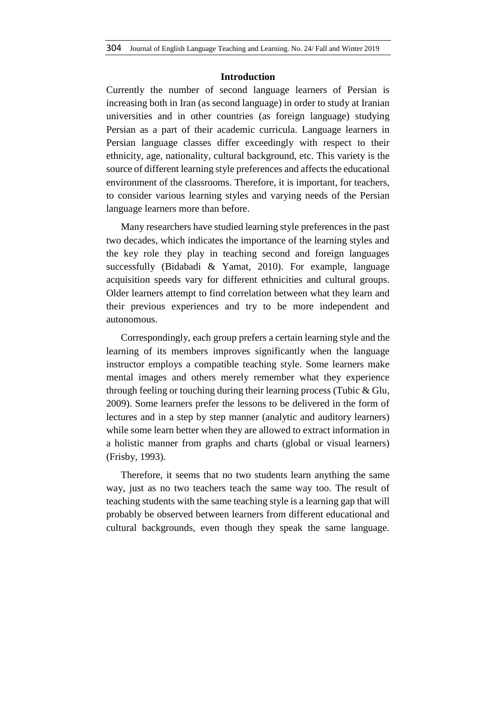#### **Introduction**

Currently the number of second language learners of Persian is increasing both in Iran (as second language) in order to study at Iranian universities and in other countries (as foreign language) studying Persian as a part of their academic curricula. Language learners in Persian language classes differ exceedingly with respect to their ethnicity, age, nationality, cultural background, etc. This variety is the source of different learning style preferences and affects the educational environment of the classrooms. Therefore, it is important, for teachers, to consider various learning styles and varying needs of the Persian language learners more than before.

Many researchers have studied learning style preferences in the past two decades, which indicates the importance of the learning styles and the key role they play in teaching second and foreign languages successfully (Bidabadi & Yamat, 2010). For example, language acquisition speeds vary for different ethnicities and cultural groups. Older learners attempt to find correlation between what they learn and their previous experiences and try to be more independent and autonomous.

Correspondingly, each group prefers a certain learning style and the learning of its members improves significantly when the language instructor employs a compatible teaching style. Some learners make mental images and others merely remember what they experience through feeling or touching during their learning process (Tubic & Glu, 2009). Some learners prefer the lessons to be delivered in the form of lectures and in a step by step manner (analytic and auditory learners) while some learn better when they are allowed to extract information in a holistic manner from graphs and charts (global or visual learners) (Frisby, 1993).

Therefore, it seems that no two students learn anything the same way, just as no two teachers teach the same way too. The result of teaching students with the same teaching style is a learning gap that will probably be observed between learners from different educational and cultural backgrounds, even though they speak the same language.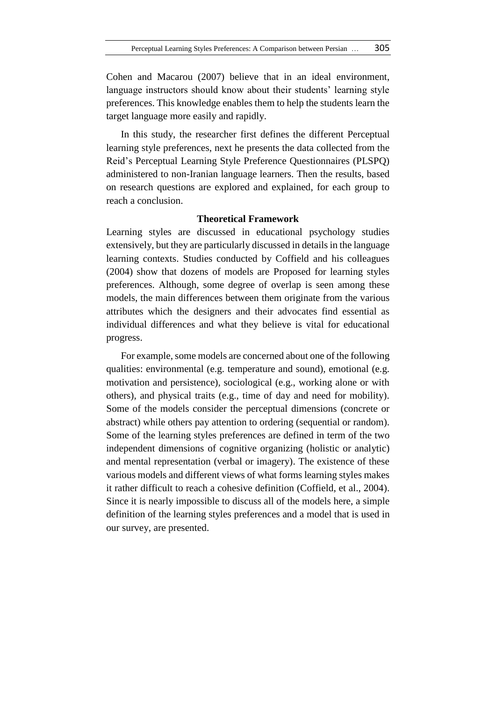Cohen and Macarou (2007) believe that in an ideal environment, language instructors should know about their students' learning style preferences. This knowledge enables them to help the students learn the target language more easily and rapidly.

In this study, the researcher first defines the different Perceptual learning style preferences, next he presents the data collected from the Reid's Perceptual Learning Style Preference Questionnaires (PLSPQ) administered to non-Iranian language learners. Then the results, based on research questions are explored and explained, for each group to reach a conclusion.

#### **Theoretical Framework**

Learning styles are discussed in educational psychology studies extensively, but they are particularly discussed in details in the language learning contexts. Studies conducted by Coffield and his colleagues (2004) show that dozens of models are Proposed for learning styles preferences. Although, some degree of overlap is seen among these models, the main differences between them originate from the various attributes which the designers and their advocates find essential as individual differences and what they believe is vital for educational progress.

For example, some models are concerned about one of the following qualities: environmental (e.g. temperature and sound), emotional (e.g. motivation and persistence), sociological (e.g., working alone or with others), and physical traits (e.g., time of day and need for mobility). Some of the models consider the perceptual dimensions (concrete or abstract) while others pay attention to ordering (sequential or random). Some of the learning styles preferences are defined in term of the two independent dimensions of cognitive organizing (holistic or analytic) and mental representation (verbal or imagery). The existence of these various models and different views of what forms learning styles makes it rather difficult to reach a cohesive definition (Coffield, et al., 2004). Since it is nearly impossible to discuss all of the models here, a simple definition of the learning styles preferences and a model that is used in our survey, are presented.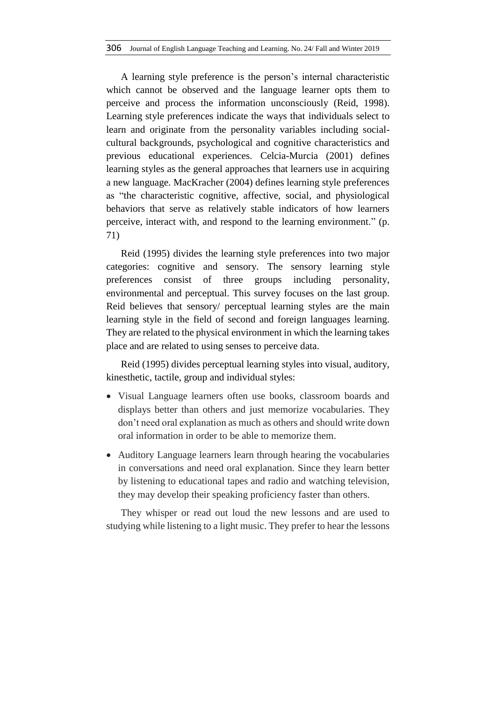A learning style preference is the person's internal characteristic which cannot be observed and the language learner opts them to perceive and process the information unconsciously (Reid, 1998). Learning style preferences indicate the ways that individuals select to learn and originate from the personality variables including socialcultural backgrounds, psychological and cognitive characteristics and previous educational experiences. Celcia-Murcia (2001) defines learning styles as the general approaches that learners use in acquiring a new language. MacKracher (2004) defines learning style preferences as "the characteristic cognitive, affective, social, and physiological behaviors that serve as relatively stable indicators of how learners perceive, interact with, and respond to the learning environment." (p. 71)

Reid (1995) divides the learning style preferences into two major categories: cognitive and sensory. The sensory learning style preferences consist of three groups including personality, environmental and perceptual. This survey focuses on the last group. Reid believes that sensory/ perceptual learning styles are the main learning style in the field of second and foreign languages learning. They are related to the physical environment in which the learning takes place and are related to using senses to perceive data.

Reid (1995) divides perceptual learning styles into visual, auditory, kinesthetic, tactile, group and individual styles:

- Visual Language learners often use books, classroom boards and displays better than others and just memorize vocabularies. They don't need oral explanation as much as others and should write down oral information in order to be able to memorize them.
- Auditory Language learners learn through hearing the vocabularies in conversations and need oral explanation. Since they learn better by listening to educational tapes and radio and watching television, they may develop their speaking proficiency faster than others.

They whisper or read out loud the new lessons and are used to studying while listening to a light music. They prefer to hear the lessons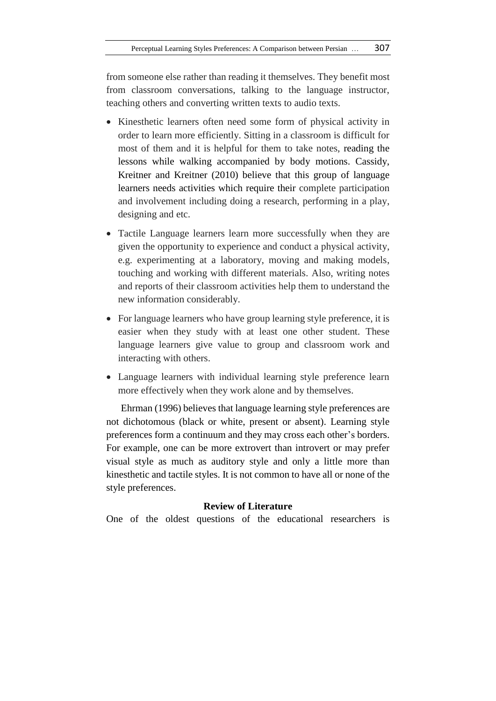from someone else rather than reading it themselves. They benefit most from classroom conversations, talking to the language instructor, teaching others and converting written texts to audio texts.

- Kinesthetic learners often need some form of physical activity in order to learn more efficiently. Sitting in a classroom is difficult for most of them and it is helpful for them to take notes, reading the lessons while walking accompanied by body motions. Cassidy, Kreitner and Kreitner (2010) believe that this group of language learners needs activities which require their complete participation and involvement including doing a research, performing in a play, designing and etc.
- Tactile Language learners learn more successfully when they are given the opportunity to experience and conduct a physical activity, e.g. experimenting at a laboratory, moving and making models, touching and working with different materials. Also, writing notes and reports of their classroom activities help them to understand the new information considerably.
- For language learners who have group learning style preference, it is easier when they study with at least one other student. These language learners give value to group and classroom work and interacting with others.
- Language learners with individual learning style preference learn more effectively when they work alone and by themselves.

Ehrman (1996) believes that language learning style preferences are not dichotomous (black or white, present or absent). Learning style preferences form a continuum and they may cross each other's borders. For example, one can be more extrovert than introvert or may prefer visual style as much as auditory style and only a little more than kinesthetic and tactile styles. It is not common to have all or none of the style preferences.

### **Review of Literature**

One of the oldest questions of the educational researchers is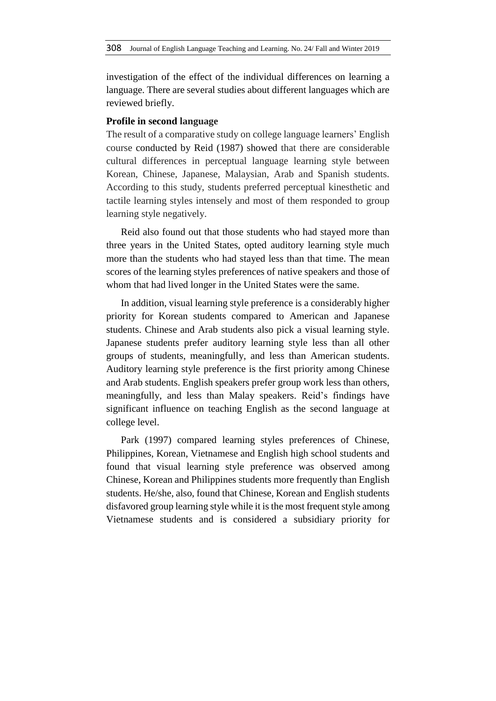investigation of the effect of the individual differences on learning a language. There are several studies about different languages which are reviewed briefly.

#### **Profile in second language**

The result of a comparative study on college language learners' English course conducted by Reid (1987) showed that there are considerable cultural differences in perceptual language learning style between Korean, Chinese, Japanese, Malaysian, Arab and Spanish students. According to this study, students preferred perceptual kinesthetic and tactile learning styles intensely and most of them responded to group learning style negatively.

Reid also found out that those students who had stayed more than three years in the United States, opted auditory learning style much more than the students who had stayed less than that time. The mean scores of the learning styles preferences of native speakers and those of whom that had lived longer in the United States were the same.

In addition, visual learning style preference is a considerably higher priority for Korean students compared to American and Japanese students. Chinese and Arab students also pick a visual learning style. Japanese students prefer auditory learning style less than all other groups of students, meaningfully, and less than American students. Auditory learning style preference is the first priority among Chinese and Arab students. English speakers prefer group work less than others, meaningfully, and less than Malay speakers. Reid's findings have significant influence on teaching English as the second language at college level.

Park (1997) compared learning styles preferences of Chinese, Philippines, Korean, Vietnamese and English high school students and found that visual learning style preference was observed among Chinese, Korean and Philippines students more frequently than English students. He/she, also, found that Chinese, Korean and English students disfavored group learning style while it is the most frequent style among Vietnamese students and is considered a subsidiary priority for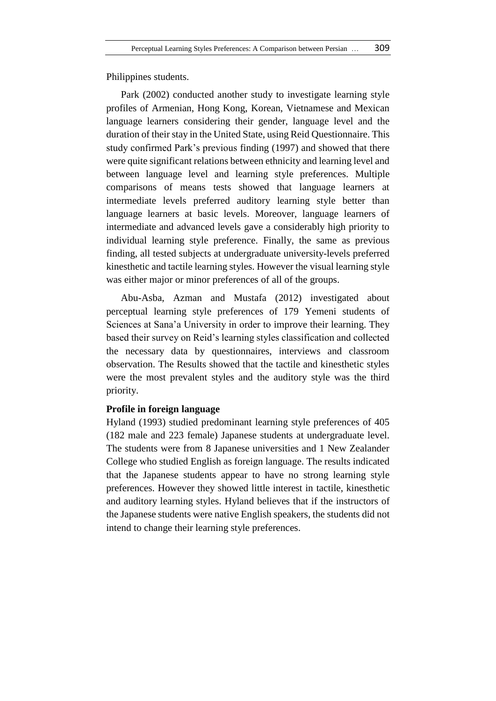Philippines students.

Park (2002) conducted another study to investigate learning style profiles of Armenian, Hong Kong, Korean, Vietnamese and Mexican language learners considering their gender, language level and the duration of their stay in the United State, using Reid Questionnaire. This study confirmed Park's previous finding (1997) and showed that there were quite significant relations between ethnicity and learning level and between language level and learning style preferences. Multiple comparisons of means tests showed that language learners at intermediate levels preferred auditory learning style better than language learners at basic levels. Moreover, language learners of intermediate and advanced levels gave a considerably high priority to individual learning style preference. Finally, the same as previous finding, all tested subjects at undergraduate university-levels preferred kinesthetic and tactile learning styles. However the visual learning style was either major or minor preferences of all of the groups.

Abu-Asba, Azman and Mustafa (2012) investigated about perceptual learning style preferences of 179 Yemeni students of Sciences at Sana'a University in order to improve their learning. They based their survey on Reid's learning styles classification and collected the necessary data by questionnaires, interviews and classroom observation. The Results showed that the tactile and kinesthetic styles were the most prevalent styles and the auditory style was the third priority.

### **Profile in foreign language**

Hyland (1993) studied predominant learning style preferences of 405 (182 male and 223 female) Japanese students at undergraduate level. The students were from 8 Japanese universities and 1 New Zealander College who studied English as foreign language. The results indicated that the Japanese students appear to have no strong learning style preferences. However they showed little interest in tactile, kinesthetic and auditory learning styles. Hyland believes that if the instructors of the Japanese students were native English speakers, the students did not intend to change their learning style preferences.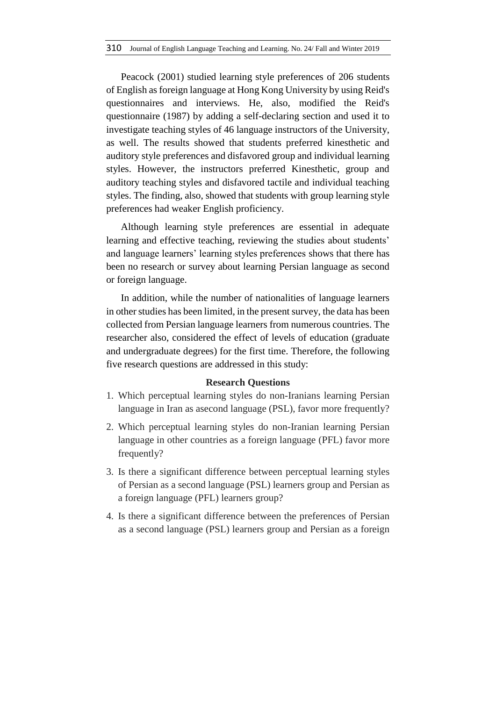Peacock (2001) studied learning style preferences of 206 students of English as foreign language at Hong Kong University by using Reid's questionnaires and interviews. He, also, modified the Reid's questionnaire (1987) by adding a self-declaring section and used it to investigate teaching styles of 46 language instructors of the University, as well. The results showed that students preferred kinesthetic and auditory style preferences and disfavored group and individual learning styles. However, the instructors preferred Kinesthetic, group and auditory teaching styles and disfavored tactile and individual teaching styles. The finding, also, showed that students with group learning style preferences had weaker English proficiency.

Although learning style preferences are essential in adequate learning and effective teaching, reviewing the studies about students' and language learners' learning styles preferences shows that there has been no research or survey about learning Persian language as second or foreign language.

In addition, while the number of nationalities of language learners in other studies has been limited, in the present survey, the data has been collected from Persian language learners from numerous countries. The researcher also, considered the effect of levels of education (graduate and undergraduate degrees) for the first time. Therefore, the following five research questions are addressed in this study:

#### **Research Questions**

- 1. Which perceptual learning styles do non-Iranians learning Persian language in Iran as asecond language (PSL), favor more frequently?
- 2. Which perceptual learning styles do non-Iranian learning Persian language in other countries as a foreign language (PFL) favor more frequently?
- 3. Is there a significant difference between perceptual learning styles of Persian as a second language (PSL) learners group and Persian as a foreign language (PFL) learners group?
- 4. Is there a significant difference between the preferences of Persian as a second language (PSL) learners group and Persian as a foreign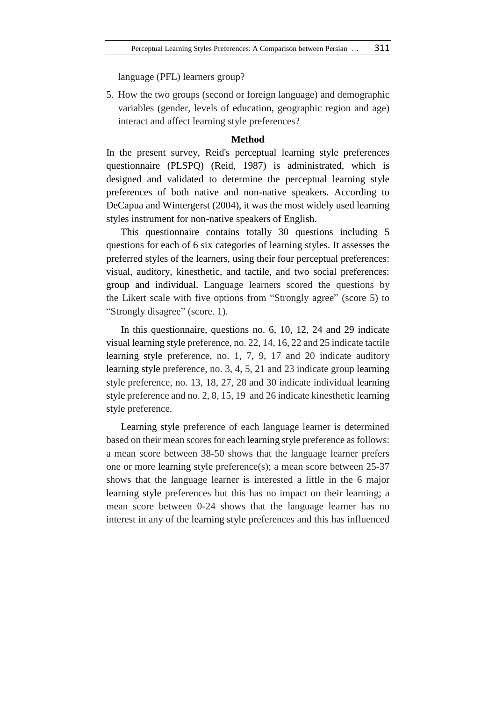language (PFL) learners group?

5. How the two groups (second or foreign language) and demographic variables (gender, levels of education, geographic region and age) interact and affect learning style preferences?

### **Method**

In the present survey, Reid's perceptual learning style preferences questionnaire (PLSPQ) (Reid, 1987) is administrated, which is designed and validated to determine the perceptual learning style preferences of both native and non-native speakers. According to DeCapua and Wintergerst (2004), it was the most widely used learning styles instrument for non-native speakers of English.

This questionnaire contains totally 30 questions including 5 questions for each of 6 six categories of learning styles. It assesses the preferred styles of the learners, using their four perceptual preferences: visual, auditory, kinesthetic, and tactile, and two social preferences: group and individual. Language learners scored the questions by the Likert scale with five options from "Strongly agree" (score 5) to "Strongly disagree" (score. 1).

In this questionnaire, questions no. 6, 10, 12, 24 and 29 indicate visual learning style preference, no. 22, 14, 16, 22 and 25 indicate tactile learning style preference, no. 1, 7, 9, 17 and 20 indicate auditory learning style preference, no. 3, 4, 5, 21 and 23 indicate group learning style preference, no. 13, 18, 27, 28 and 30 indicate individual learning style preference and no. 2, 8, 15, 19 and 26 indicate kinesthetic learning style preference.

Learning style preference of each language learner is determined based on their mean scores for each learning style preference as follows: a mean score between 38-50 shows that the language learner prefers one or more learning style preference(s); a mean score between 25-37 shows that the language learner is interested a little in the 6 major learning style preferences but this has no impact on their learning; a mean score between 0-24 shows that the language learner has no interest in any of the learning style preferences and this has influenced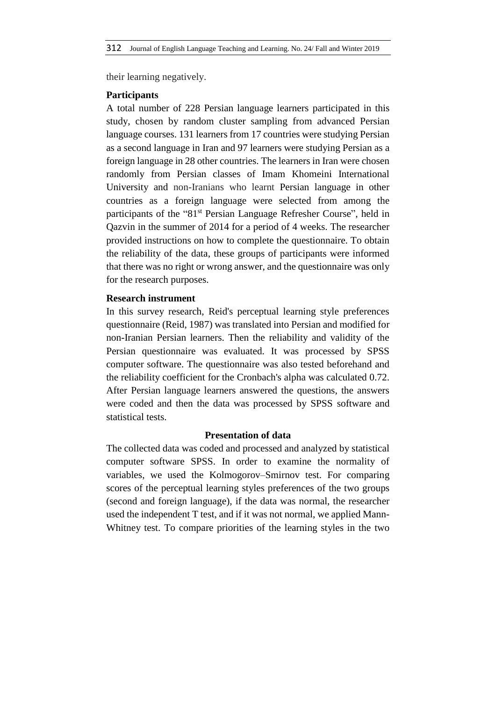their learning negatively.

### **Participants**

A total number of 228 Persian language learners participated in this study, chosen by random cluster sampling from advanced Persian language courses. 131 learners from 17 countries were studying Persian as a second language in Iran and 97 learners were studying Persian as a foreign language in 28 other countries. The learners in Iran were chosen randomly from Persian classes of Imam Khomeini International University and non-Iranians who learnt Persian language in other countries as a foreign language were selected from among the participants of the "81<sup>st</sup> Persian Language Refresher Course", held in Qazvin in the summer of 2014 for a period of 4 weeks. The researcher provided instructions on how to complete the questionnaire. To obtain the reliability of the data, these groups of participants were informed that there was no right or wrong answer, and the questionnaire was only for the research purposes.

## **Research instrument**

In this survey research, Reid's perceptual learning style preferences questionnaire (Reid, 1987) was translated into Persian and modified for non-Iranian Persian learners. Then the reliability and validity of the Persian questionnaire was evaluated. It was processed by SPSS computer software. The questionnaire was also tested beforehand and the reliability coefficient for the Cronbach's alpha was calculated 0.72. After Persian language learners answered the questions, the answers were coded and then the data was processed by SPSS software and statistical tests.

## **Presentation of data**

The collected data was coded and processed and analyzed by statistical computer software SPSS. In order to examine the normality of variables, we used the Kolmogorov–Smirnov test. For comparing scores of the perceptual learning styles preferences of the two groups (second and foreign language), if the data was normal, the researcher used the independent T test, and if it was not normal, we applied Mann-Whitney test. To compare priorities of the learning styles in the two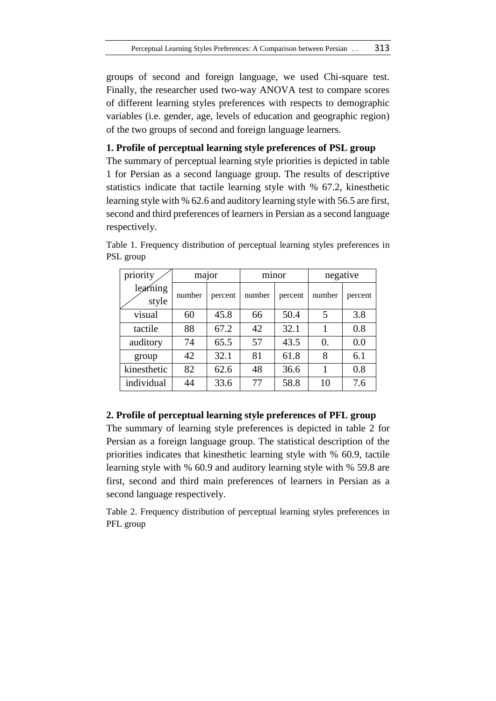groups of second and foreign language, we used Chi-square test. Finally, the researcher used two-way ANOVA test to compare scores of different learning styles preferences with respects to demographic variables (i.e. gender, age, levels of education and geographic region) of the two groups of second and foreign language learners.

### **1. Profile of perceptual learning style preferences of PSL group**

The summary of perceptual learning style priorities is depicted in table 1 for Persian as a second language group. The results of descriptive statistics indicate that tactile learning style with % 67.2, kinesthetic learning style with % 62.6 and auditory learning style with 56.5 are first, second and third preferences of learners in Persian as a second language respectively.

| priority          | major  |         | minor  |         | negative         |         |
|-------------------|--------|---------|--------|---------|------------------|---------|
| learning<br>style | number | percent | number | percent | number           | percent |
| visual            | 60     | 45.8    | 66     | 50.4    | 5                | 3.8     |
| tactile           | 88     | 67.2    | 42     | 32.1    |                  | 0.8     |
| auditory          | 74     | 65.5    | 57     | 43.5    | $\overline{0}$ . | 0.0     |
| group             | 42     | 32.1    | 81     | 61.8    | 8                | 6.1     |
| kinesthetic       | 82     | 62.6    | 48     | 36.6    |                  | 0.8     |
| individual        | 44     | 33.6    | 77     | 58.8    | 10               | 7.6     |

Table 1. Frequency distribution of perceptual learning styles preferences in PSL group

# **2. Profile of perceptual learning style preferences of PFL group**

The summary of learning style preferences is depicted in table 2 for Persian as a foreign language group. The statistical description of the priorities indicates that kinesthetic learning style with % 60.9, tactile learning style with % 60.9 and auditory learning style with % 59.8 are first, second and third main preferences of learners in Persian as a second language respectively.

Table 2. Frequency distribution of perceptual learning styles preferences in PFL group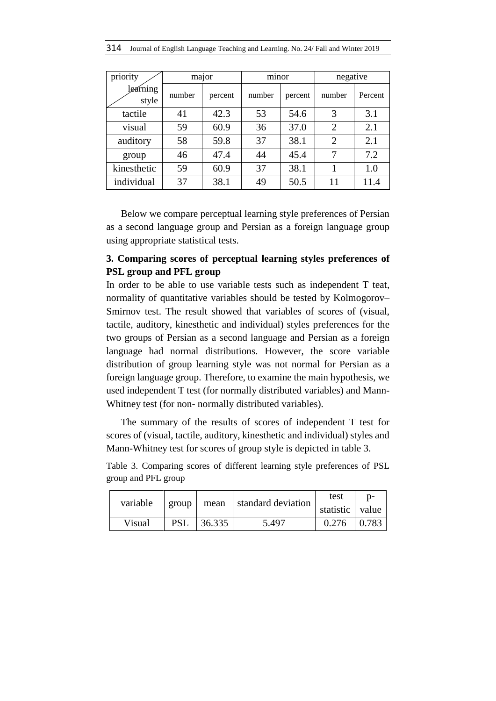|  |  |  |  |  | 314 Journal of English Language Teaching and Learning. No. 24/ Fall and Winter 2019 |
|--|--|--|--|--|-------------------------------------------------------------------------------------|
|--|--|--|--|--|-------------------------------------------------------------------------------------|

| priority          | major  |         | minor  |         | negative       |         |
|-------------------|--------|---------|--------|---------|----------------|---------|
| learning<br>style | number | percent | number | percent | number         | Percent |
| tactile           | 41     | 42.3    | 53     | 54.6    | 3              | 3.1     |
| visual            | 59     | 60.9    | 36     | 37.0    | $\overline{2}$ | 2.1     |
| auditory          | 58     | 59.8    | 37     | 38.1    | $\overline{2}$ | 2.1     |
| group             | 46     | 47.4    | 44     | 45.4    | 7              | 7.2     |
| kinesthetic       | 59     | 60.9    | 37     | 38.1    |                | 1.0     |
| individual        | 37     | 38.1    | 49     | 50.5    | 11             | 11.4    |

Below we compare perceptual learning style preferences of Persian as a second language group and Persian as a foreign language group using appropriate statistical tests.

# **3. Comparing scores of perceptual learning styles preferences of PSL group and PFL group**

In order to be able to use variable tests such as independent T teat, normality of quantitative variables should be tested by Kolmogorov– Smirnov test. The result showed that variables of scores of (visual, tactile, auditory, kinesthetic and individual) styles preferences for the two groups of Persian as a second language and Persian as a foreign language had normal distributions. However, the score variable distribution of group learning style was not normal for Persian as a foreign language group. Therefore, to examine the main hypothesis, we used independent T test (for normally distributed variables) and Mann-Whitney test (for non- normally distributed variables).

The summary of the results of scores of independent T test for scores of (visual, tactile, auditory, kinesthetic and individual) styles and Mann-Whitney test for scores of group style is depicted in table 3.

Table 3. Comparing scores of different learning style preferences of PSL group and PFL group

| variable | standard deviation<br>mean<br>group |        | test  |                 |       |
|----------|-------------------------------------|--------|-------|-----------------|-------|
|          |                                     |        |       | statistic value |       |
| Visual   | PSL                                 | 36.335 | 5.497 | 0.276           | 0.783 |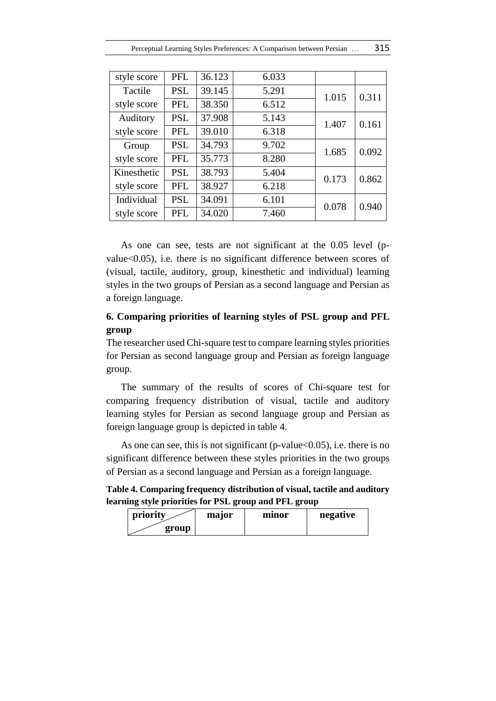| style score | <b>PFL</b> | 36.123 | 6.033 |       |       |
|-------------|------------|--------|-------|-------|-------|
| Tactile     | <b>PSL</b> | 39.145 | 5.291 | 1.015 | 0.311 |
| style score | <b>PFL</b> | 38.350 | 6.512 |       |       |
| Auditory    | <b>PSL</b> | 37.908 | 5.143 | 1.407 | 0.161 |
| style score | <b>PFL</b> | 39.010 | 6.318 |       |       |
| Group       | <b>PSL</b> | 34.793 | 9.702 | 1.685 | 0.092 |
| style score | <b>PFL</b> | 35.773 | 8.280 |       |       |
| Kinesthetic | <b>PSL</b> | 38.793 | 5.404 | 0.173 | 0.862 |
| style score | <b>PFL</b> | 38.927 | 6.218 |       |       |
| Individual  | <b>PSL</b> | 34.091 | 6.101 | 0.078 | 0.940 |
| style score | <b>PFL</b> | 34.020 | 7.460 |       |       |

As one can see, tests are not significant at the 0.05 level (pvalue<0.05), i.e. there is no significant difference between scores of (visual, tactile, auditory, group, kinesthetic and individual) learning styles in the two groups of Persian as a second language and Persian as a foreign language.

# **6. Comparing priorities of learning styles of PSL group and PFL group**

The researcher used Chi-square test to compare learning styles priorities for Persian as second language group and Persian as foreign language group.

The summary of the results of scores of Chi-square test for comparing frequency distribution of visual, tactile and auditory learning styles for Persian as second language group and Persian as foreign language group is depicted in table 4.

As one can see, this is not significant (p-value $<0.05$ ), i.e. there is no significant difference between these styles priorities in the two groups of Persian as a second language and Persian as a foreign language.

**Table 4. Comparing frequency distribution of visual, tactile and auditory learning style priorities for PSL group and PFL group**

| priority | major | mınor | negative |
|----------|-------|-------|----------|
| group    |       |       |          |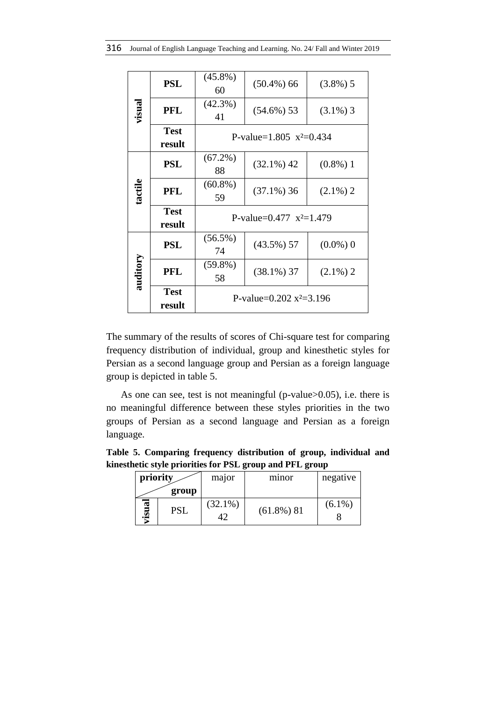|          | <b>PSL</b>            | $(45.8\%)$<br>60                       | $(50.4\%) 66$ | $(3.8\%)$ 5 |  |  |  |
|----------|-----------------------|----------------------------------------|---------------|-------------|--|--|--|
| visual   | <b>PFL</b>            | $(42.3\%)$<br>41                       | $(54.6\%)$ 53 | $(3.1\%)$ 3 |  |  |  |
|          | <b>Test</b><br>result | P-value= $1.805$ $x^2=0.434$           |               |             |  |  |  |
|          | <b>PSL</b>            | (67.2%)<br>88                          | $(32.1\%) 42$ | $(0.8\%)$ 1 |  |  |  |
| tactile  | <b>PFL</b>            | $(60.8\%)$<br>59                       | $(37.1\%)$ 36 | $(2.1\%) 2$ |  |  |  |
|          | <b>Test</b><br>result | P-value= $0.477 \text{ x}^2=1.479$     |               |             |  |  |  |
|          | <b>PSL</b>            | $(56.5\%)$<br>74                       | $(43.5\%) 57$ | $(0.0\%)$ 0 |  |  |  |
| auditory | <b>PFL</b>            | $(59.8\%)$<br>58                       | $(38.1\%)$ 37 | $(2.1\%)$ 2 |  |  |  |
|          | <b>Test</b><br>result | P-value= $0.202$ x <sup>2</sup> =3.196 |               |             |  |  |  |

The summary of the results of scores of Chi-square test for comparing frequency distribution of individual, group and kinesthetic styles for Persian as a second language group and Persian as a foreign language group is depicted in table 5.

As one can see, test is not meaningful (p-value>0.05), i.e. there is no meaningful difference between these styles priorities in the two groups of Persian as a second language and Persian as a foreign language.

**Table 5. Comparing frequency distribution of group, individual and kinesthetic style priorities for PSL group and PFL group**

| priority            |            | major      | minor         | negative  |
|---------------------|------------|------------|---------------|-----------|
|                     | group      |            |               |           |
| $\mathbf{a}$<br>usi | <b>PSL</b> | $(32.1\%)$ | $(61.8\%)$ 81 | $(6.1\%)$ |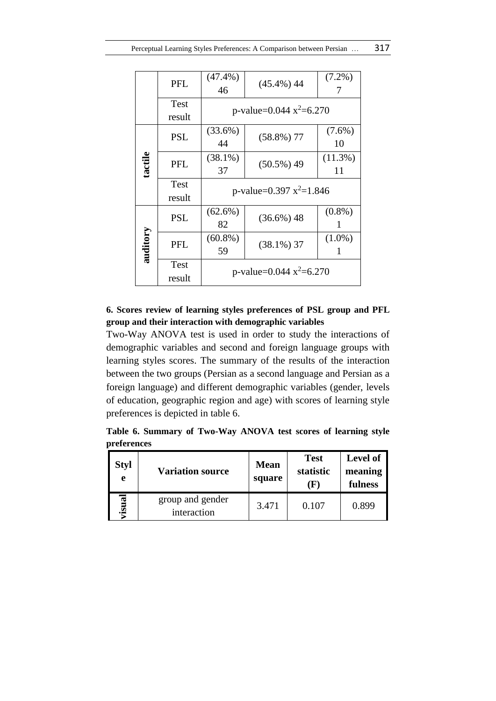|          | <b>PFL</b>            | $(47.4\%)$<br>46                       | $(45.4\%) 44$                          | $(7.2\%)$       |  |  |
|----------|-----------------------|----------------------------------------|----------------------------------------|-----------------|--|--|
|          | Test<br>result        |                                        | p-value= $0.044$ x <sup>2</sup> =6.270 |                 |  |  |
|          | <b>PSL</b>            | $(33.6\%)$<br>44                       | $(58.8\%)$ 77                          | $(7.6\%)$<br>10 |  |  |
| tactile  | <b>PFL</b>            | $(38.1\%)$<br>37                       | $(50.5\%) 49$                          | (11.3%)<br>11   |  |  |
|          | Test<br>result        | p-value=0.397 $x^2$ =1.846             |                                        |                 |  |  |
|          | <b>PSL</b>            | $(62.6\%)$<br>82                       | $(36.6\%) 48$                          | $(0.8\%)$<br>1  |  |  |
| auditory | <b>PFL</b>            | $(60.8\%)$<br>59                       | $(38.1\%)$ 37                          | $(1.0\%)$       |  |  |
|          | <b>Test</b><br>result | p-value= $0.044$ x <sup>2</sup> =6.270 |                                        |                 |  |  |

# **6. Scores review of learning styles preferences of PSL group and PFL group and their interaction with demographic variables**

Two-Way ANOVA test is used in order to study the interactions of demographic variables and second and foreign language groups with learning styles scores. The summary of the results of the interaction between the two groups (Persian as a second language and Persian as a foreign language) and different demographic variables (gender, levels of education, geographic region and age) with scores of learning style preferences is depicted in table 6.

**Table 6. Summary of Two-Way ANOVA test scores of learning style preferences**

| <b>Styl</b><br>e | <b>Variation source</b>         | <b>Mean</b><br>square | <b>Test</b><br>statistic<br>( k. | <b>Level of</b><br>meaning<br>fulness |
|------------------|---------------------------------|-----------------------|----------------------------------|---------------------------------------|
| risual           | group and gender<br>interaction | 3.471                 | 0.107                            | 0.899                                 |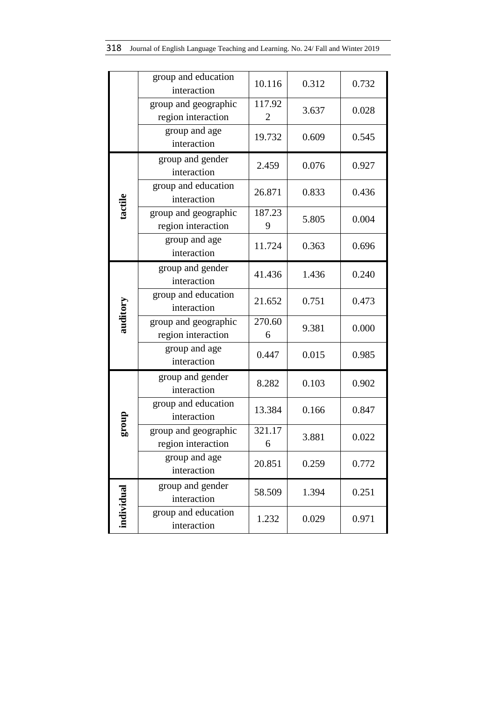|            | group and education<br>interaction         | 10.116      | 0.312 | 0.732 |
|------------|--------------------------------------------|-------------|-------|-------|
|            | group and geographic<br>region interaction | 117.92<br>2 | 3.637 | 0.028 |
|            | group and age<br>interaction               | 19.732      | 0.609 | 0.545 |
|            | group and gender<br>interaction            | 2.459       | 0.076 | 0.927 |
|            | group and education<br>interaction         | 26.871      | 0.833 | 0.436 |
| tactile    | group and geographic<br>region interaction | 187.23<br>9 | 5.805 | 0.004 |
|            | group and age<br>interaction               | 11.724      | 0.363 | 0.696 |
|            | group and gender<br>interaction            | 41.436      | 1.436 | 0.240 |
| auditory   | group and education<br>interaction         | 21.652      | 0.751 | 0.473 |
|            | group and geographic<br>region interaction | 270.60<br>6 | 9.381 | 0.000 |
|            | group and age<br>interaction               | 0.447       | 0.015 | 0.985 |
|            | group and gender<br>interaction            | 8.282       | 0.103 | 0.902 |
|            | group and education<br>interaction         | 13.384      | 0.166 | 0.847 |
| dno.15     | group and geographic<br>region interaction | 321.17<br>6 | 3.881 | 0.022 |
|            | group and age<br>interaction               | 20.851      | 0.259 | 0.772 |
|            | group and gender<br>interaction            | 58.509      | 1.394 | 0.251 |
| individual | group and education<br>interaction         | 1.232       | 0.029 | 0.971 |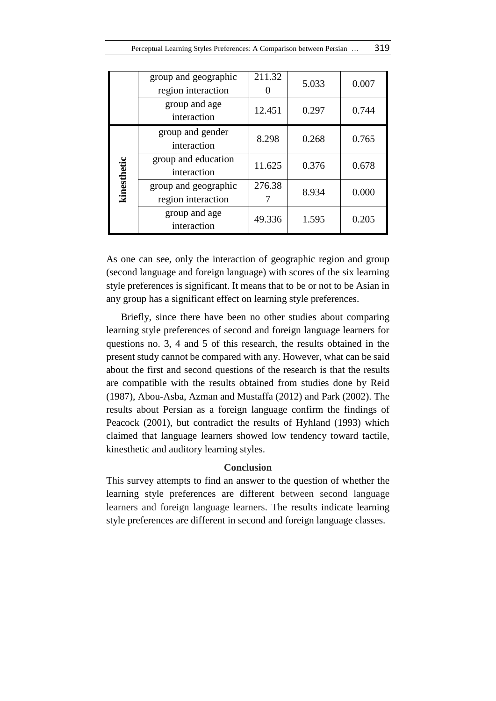|             | group and geographic<br>region interaction | 211.32 | 5.033 | 0.007 |
|-------------|--------------------------------------------|--------|-------|-------|
|             | group and age<br>interaction               | 12.451 | 0.297 | 0.744 |
|             | group and gender<br>interaction            | 8.298  | 0.268 | 0.765 |
|             | group and education<br>interaction         | 11.625 | 0.376 | 0.678 |
| kinesthetic | group and geographic<br>region interaction | 276.38 | 8.934 | 0.000 |
|             | group and age<br>interaction               | 49.336 | 1.595 | 0.205 |

As one can see, only the interaction of geographic region and group (second language and foreign language) with scores of the six learning style preferences is significant. It means that to be or not to be Asian in any group has a significant effect on learning style preferences.

Briefly, since there have been no other studies about comparing learning style preferences of second and foreign language learners for questions no. 3, 4 and 5 of this research, the results obtained in the present study cannot be compared with any. However, what can be said about the first and second questions of the research is that the results are compatible with the results obtained from studies done by Reid (1987), Abou-Asba, Azman and Mustaffa (2012) and Park (2002). The results about Persian as a foreign language confirm the findings of Peacock (2001), but contradict the results of Hyhland (1993) which claimed that language learners showed low tendency toward tactile, kinesthetic and auditory learning styles.

#### **Conclusion**

This survey attempts to find an answer to the question of whether the learning style preferences are different between second language learners and foreign language learners. The results indicate learning style preferences are different in second and foreign language classes.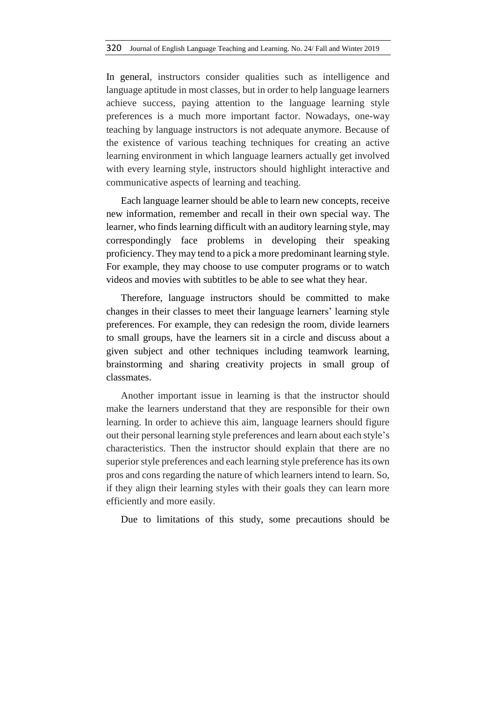In general, instructors consider qualities such as intelligence and language aptitude in most classes, but in order to help language learners achieve success, paying attention to the language learning style preferences is a much more important factor. Nowadays, one-way teaching by language instructors is not adequate anymore. Because of the existence of various teaching techniques for creating an active learning environment in which language learners actually get involved with every learning style, instructors should highlight interactive and communicative aspects of learning and teaching.

Each language learner should be able to learn new concepts, receive new information, remember and recall in their own special way. The learner, who finds learning difficult with an auditory learning style, may correspondingly face problems in developing their speaking proficiency. They may tend to a pick a more predominant learning style. For example, they may choose to use computer programs or to watch videos and movies with subtitles to be able to see what they hear.

Therefore, language instructors should be committed to make changes in their classes to meet their language learners' learning style preferences. For example, they can redesign the room, divide learners to small groups, have the learners sit in a circle and discuss about a given subject and other techniques including teamwork learning, brainstorming and sharing creativity projects in small group of classmates.

Another important issue in learning is that the instructor should make the learners understand that they are responsible for their own learning. In order to achieve this aim, language learners should figure out their personal learning style preferences and learn about each style's characteristics. Then the instructor should explain that there are no superior style preferences and each learning style preference has its own pros and cons regarding the nature of which learners intend to learn. So, if they align their learning styles with their goals they can learn more efficiently and more easily.

Due to limitations of this study, some precautions should be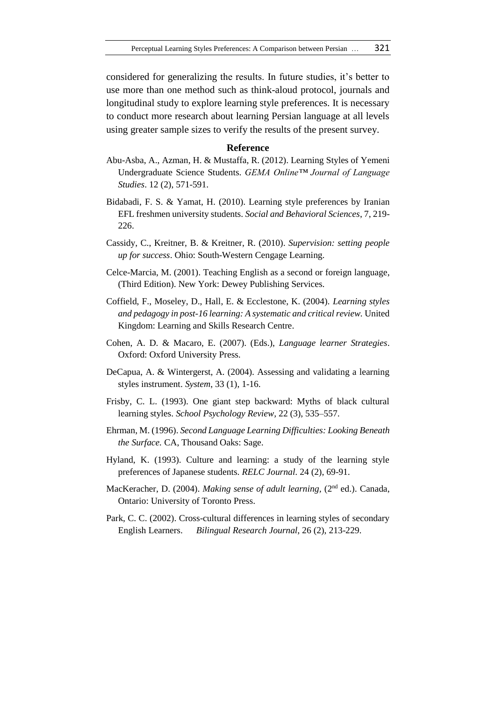considered for generalizing the results. In future studies, it's better to use more than one method such as think-aloud protocol, journals and longitudinal study to explore learning style preferences. It is necessary to conduct more research about learning Persian language at all levels using greater sample sizes to verify the results of the present survey.

#### **Reference**

- Abu-Asba, A., Azman, H. & Mustaffa, R. (2012). Learning Styles of Yemeni Undergraduate Science Students. *GEMA Online™ Journal of Language Studies*. 12 (2), 571-591.
- Bidabadi, F. S. & Yamat, H. (2010). Learning style preferences by Iranian EFL freshmen university students. *Social and Behavioral Sciences*, 7, 219- 226.
- Cassidy, C., Kreitner, B. & Kreitner, R. (2010). *Supervision: setting people up for success*. Ohio: South-Western Cengage Learning.
- Celce-Marcia, M. (2001). Teaching English as a second or foreign language, (Third Edition). New York: Dewey Publishing Services.
- Coffield, F., Moseley, D., Hall, E. & Ecclestone, K. (2004). *Learning styles and pedagogy in post-16 learning: A systematic and critical review.* United Kingdom: Learning and Skills Research Centre.
- Cohen, A. D. & Macaro, E. (2007). (Eds.), *Language learner Strategies*. Oxford: Oxford University Press.
- DeCapua, A. & Wintergerst, A. (2004). Assessing and validating a learning styles instrument. *System*, 33 (1), 1-16.
- Frisby, C. L. (1993). One giant step backward: Myths of black cultural learning styles. *School Psychology Review,* 22 (3), 535–557.
- Ehrman, M. (1996). *Second Language Learning Difficulties: Looking Beneath the Surface.* CA, Thousand Oaks: Sage.
- Hyland, K. (1993). Culture and learning: a study of the learning style preferences of Japanese students. *RELC Journal*. 24 (2), 69-91.
- MacKeracher, D. (2004). *Making sense of adult learning,* (2nd ed.). Canada, Ontario: University of Toronto Press.
- Park, C. C. (2002). Cross-cultural differences in learning styles of secondary English Learners. *Bilingual Research Journal*, 26 (2), 213-229.